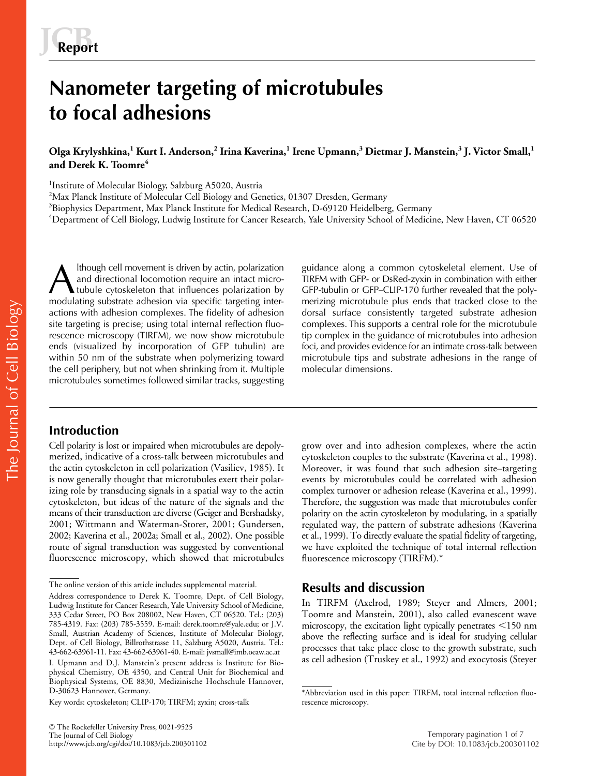# **Nanometer targeting of microtubules to focal adhesions**

### **Olga Krylyshkina,<sup>1</sup> Kurt I. Anderson,<sup>2</sup> Irina Kaverina,<sup>1</sup> Irene Upmann,<sup>3</sup> Dietmar J. Manstein,<sup>3</sup> J. Victor Small,<sup>1</sup> and Derek K. Toomre<sup>4</sup>**

<sup>1</sup>Institute of Molecular Biology, Salzburg A5020, Austria

<sup>2</sup>Max Planck Institute of Molecular Cell Biology and Genetics, 01307 Dresden, Germany

 $^3$ Biophysics Department, Max Planck Institute for Medical Research, D-69120 Heidelberg, Germany

 $\rm ^4$ Department of Cell Biology, Ludwig Institute for Cancer Research, Yale University School of Medicine, New Haven, CT 06520

lthough cell movement is driven by actin, polarization and directional locomotion require an intact microtubule cytoskeleton that influences polarization by modulating substrate adhesion via specific targeting interactions with adhesion complexes. The fidelity of adhesion site targeting is precise; using total internal reflection fluorescence microscopy (TIRFM), we now show microtubule ends (visualized by incorporation of GFP tubulin) are within 50 nm of the substrate when polymerizing toward the cell periphery, but not when shrinking from it. Multiple microtubules sometimes followed similar tracks, suggesting A lthough cell movement is driven by actin, polarization<br>
and directional locomotion require an intact micro-<br>
TIRFM with GFP- or DsRed-zyxin in combination with either<br>
modulating substrate adhesion via specific targeting

# **Introduction**

Cell polarity is lost or impaired when microtubules are depolymerized, indicative of a cross-talk between microtubules and the actin cytoskeleton in cell polarization (Vasiliev, 1985). It is now generally thought that microtubules exert their polarizing role by transducing signals in a spatial way to the actin cytoskeleton, but ideas of the nature of the signals and the means of their transduction are diverse (Geiger and Bershadsky, 2001; Wittmann and Waterman-Storer, 2001; Gundersen, 2002; Kaverina et al., 2002a; Small et al., 2002). One possible route of signal transduction was suggested by conventional fluorescence microscopy, which showed that microtubules TIRFM with GFP- or DsRed-zyxin in combination with either merizing microtubule plus ends that tracked close to the dorsal surface consistently targeted substrate adhesion complexes. This supports a central role for the microtubule tip complex in the guidance of microtubules into adhesion foci, and provides evidence for an intimate cross-talk between microtubule tips and substrate adhesions in the range of molecular dimensions.

grow over and into adhesion complexes, where the actin cytoskeleton couples to the substrate (Kaverina et al., 1998). Moreover, it was found that such adhesion site–targeting events by microtubules could be correlated with adhesion complex turnover or adhesion release (Kaverina et al., 1999). Therefore, the suggestion was made that microtubules confer polarity on the actin cytoskeleton by modulating, in a spatially regulated way, the pattern of substrate adhesions (Kaverina et al., 1999). To directly evaluate the spatial fidelity of targeting, we have exploited the technique of total internal reflection fluorescence microscopy (TIRFM).\*

## **Results and discussion**

In TIRFM (Axelrod, 1989; Steyer and Almers, 2001; Toomre and Manstein, 2001), also called evanescent wave microscopy, the excitation light typically penetrates <150 nm above the reflecting surface and is ideal for studying cellular processes that take place close to the growth substrate, such as cell adhesion (Truskey et al., 1992) and exocytosis (Steyer

The online version of this article includes supplemental material.

Address correspondence to Derek K. Toomre, Dept. of Cell Biology, Ludwig Institute for Cancer Research, Yale University School of Medicine, 333 Cedar Street, PO Box 208002, New Haven, CT 06520. Tel.: (203) 785-4319. Fax: (203) 785-3559. E-mail: derek.toomre@yale.edu; or J.V. Small, Austrian Academy of Sciences, Institute of Molecular Biology, Dept. of Cell Biology, Billrothstrasse 11, Salzburg A5020, Austria. Tel.: 43-662-63961-11. Fax: 43-662-63961-40. E-mail: jvsmall@imb.oeaw.ac.at

I. Upmann and D.J. Manstein's present address is Institute for Biophysical Chemistry, OE 4350, and Central Unit for Biochemical and Biophysical Systems, OE 8830, Medizinische Hochschule Hannover, D-30623 Hannover, Germany.

Key words: cytoskeleton; CLIP-170; TIRFM; zyxin; cross-talk

<sup>\*</sup>Abbreviation used in this paper: TIRFM, total internal reflection fluorescence microscopy.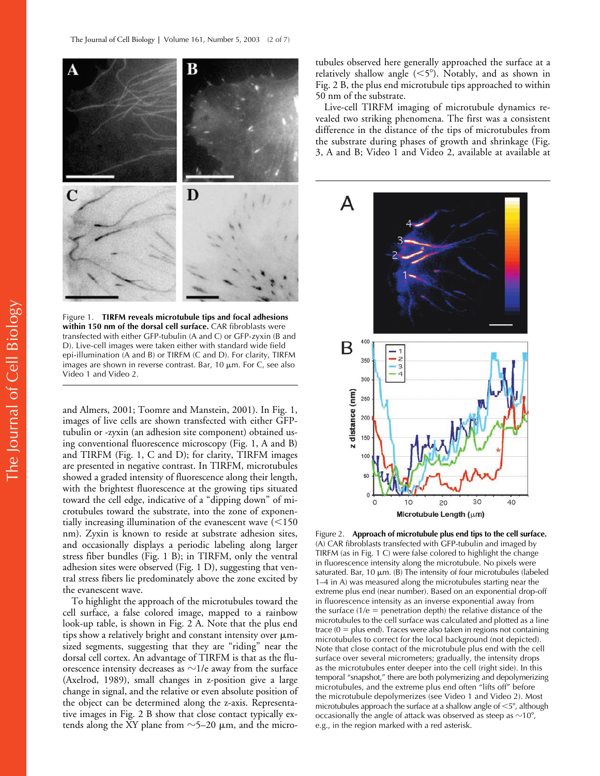

Figure 1. **TIRFM reveals microtubule tips and focal adhesions within 150 nm of the dorsal cell surface.** CAR fibroblasts were transfected with either GFP-tubulin (A and C) or GFP-zyxin (B and D). Live-cell images were taken either with standard wide field epi-illumination (A and B) or TIRFM (C and D). For clarity, TIRFM images are shown in reverse contrast. Bar,  $10 \mu m$ . For C, see also Video 1 and Video 2.

and Almers, 2001; Toomre and Manstein, 2001). In Fig. 1, images of live cells are shown transfected with either GFPtubulin or -zyxin (an adhesion site component) obtained using conventional fluorescence microscopy (Fig. 1, A and B) and TIRFM (Fig. 1, C and D); for clarity, TIRFM images are presented in negative contrast. In TIRFM, microtubules showed a graded intensity of fluorescence along their length, with the brightest fluorescence at the growing tips situated toward the cell edge, indicative of a "dipping down" of microtubules toward the substrate, into the zone of exponentially increasing illumination of the evanescent wave  $(<$ 150 nm). Zyxin is known to reside at substrate adhesion sites, and occasionally displays a periodic labeling along larger stress fiber bundles (Fig. 1 B); in TIRFM, only the ventral adhesion sites were observed (Fig. 1 D), suggesting that ventral stress fibers lie predominately above the zone excited by the evanescent wave.

To highlight the approach of the microtubules toward the cell surface, a false colored image, mapped to a rainbow look-up table, is shown in Fig. 2 A. Note that the plus end tips show a relatively bright and constant intensity over  $\mu$ msized segments, suggesting that they are "riding" near the dorsal cell cortex. An advantage of TIRFM is that as the fluorescence intensity decreases as  $\sim$ 1/e away from the surface (Axelrod, 1989), small changes in z-position give a large change in signal, and the relative or even absolute position of the object can be determined along the z-axis. Representative images in Fig. 2 B show that close contact typically extends along the XY plane from  $\sim$ 5–20  $\mu$ m, and the microtubules observed here generally approached the surface at a relatively shallow angle  $(<5^{\circ}$ ). Notably, and as shown in Fig. 2 B, the plus end microtubule tips approached to within 50 nm of the substrate.

Live-cell TIRFM imaging of microtubule dynamics revealed two striking phenomena. The first was a consistent difference in the distance of the tips of microtubules from the substrate during phases of growth and shrinkage (Fig. 3, A and B; Video 1 and Video 2, available at available at



Figure 2. **Approach of microtubule plus end tips to the cell surface.**  (A) CAR fibroblasts transfected with GFP-tubulin and imaged by TIRFM (as in Fig. 1 C) were false colored to highlight the change in fluorescence intensity along the microtubule. No pixels were saturated. Bar, 10  $\mu$ m. (B) The intensity of four microtubules (labeled 1–4 in A) was measured along the microtubules starting near the extreme plus end (near number). Based on an exponential drop-off in fluorescence intensity as an inverse exponential away from the surface  $(1/e =$  penetration depth) the relative distance of the microtubules to the cell surface was calculated and plotted as a line trace  $(0 = plus end)$ . Traces were also taken in regions not containing microtubules to correct for the local background (not depicted). Note that close contact of the microtubule plus end with the cell surface over several micrometers; gradually, the intensity drops as the microtubules enter deeper into the cell (right side). In this temporal "snapshot," there are both polymerizing and depolymerizing microtubules, and the extreme plus end often "lifts off" before the microtubule depolymerizes (see Video 1 and Video 2). Most microtubules approach the surface at a shallow angle of  $<$  5°, although occasionally the angle of attack was observed as steep as  $\sim$ 10°, e.g., in the region marked with a red asterisk.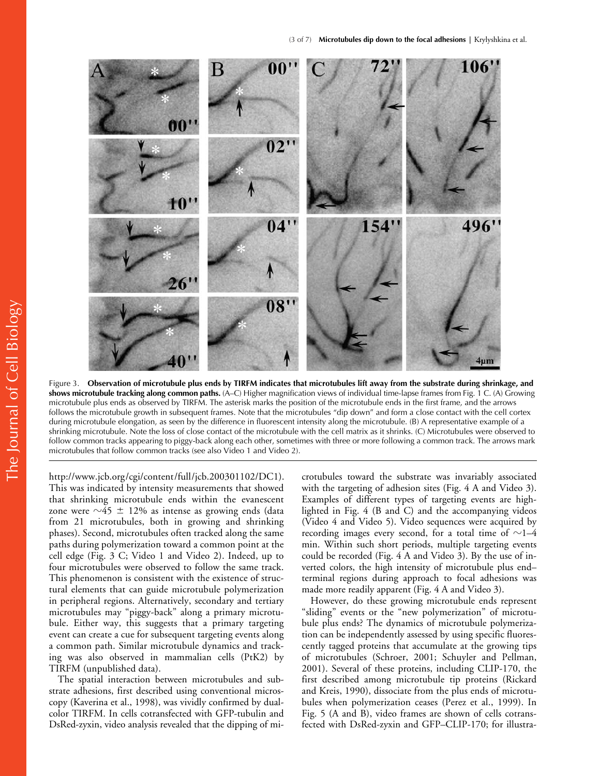

Figure 3. **Observation of microtubule plus ends by TIRFM indicates that microtubules lift away from the substrate during shrinkage, and shows microtubule tracking along common paths.** (A–C) Higher magnification views of individual time-lapse frames from Fig. 1 C. (A) Growing microtubule plus ends as observed by TIRFM. The asterisk marks the position of the microtubule ends in the first frame, and the arrows follows the microtubule growth in subsequent frames. Note that the microtubules "dip down" and form a close contact with the cell cortex during microtubule elongation, as seen by the difference in fluorescent intensity along the microtubule. (B) A representative example of a shrinking microtubule. Note the loss of close contact of the microtubule with the cell matrix as it shrinks. (C) Microtubules were observed to follow common tracks appearing to piggy-back along each other, sometimes with three or more following a common track. The arrows mark microtubules that follow common tracks (see also Video 1 and Video 2).

http://www.jcb.org/cgi/content/full/jcb.200301102/DC1). This was indicated by intensity measurements that showed that shrinking microtubule ends within the evanescent zone were  $\sim$ 45  $\pm$  12% as intense as growing ends (data from 21 microtubules, both in growing and shrinking phases). Second, microtubules often tracked along the same paths during polymerization toward a common point at the cell edge (Fig. 3 C; Video 1 and Video 2). Indeed, up to four microtubules were observed to follow the same track. This phenomenon is consistent with the existence of structural elements that can guide microtubule polymerization in peripheral regions. Alternatively, secondary and tertiary microtubules may "piggy-back" along a primary microtubule. Either way, this suggests that a primary targeting event can create a cue for subsequent targeting events along a common path. Similar microtubule dynamics and tracking was also observed in mammalian cells (PtK2) by TIRFM (unpublished data).

The spatial interaction between microtubules and substrate adhesions, first described using conventional microscopy (Kaverina et al., 1998), was vividly confirmed by dualcolor TIRFM. In cells cotransfected with GFP-tubulin and DsRed-zyxin, video analysis revealed that the dipping of microtubules toward the substrate was invariably associated with the targeting of adhesion sites (Fig. 4 A and Video 3). Examples of different types of targeting events are highlighted in Fig. 4 (B and C) and the accompanying videos (Video 4 and Video 5). Video sequences were acquired by recording images every second, for a total time of  ${\sim}$ 1–4 min. Within such short periods, multiple targeting events could be recorded (Fig. 4 A and Video 3). By the use of inverted colors, the high intensity of microtubule plus end– terminal regions during approach to focal adhesions was made more readily apparent (Fig. 4 A and Video 3).

However, do these growing microtubule ends represent "sliding" events or the "new polymerization" of microtubule plus ends? The dynamics of microtubule polymerization can be independently assessed by using specific fluorescently tagged proteins that accumulate at the growing tips of microtubules (Schroer, 2001; Schuyler and Pellman, 2001). Several of these proteins, including CLIP-170, the first described among microtubule tip proteins (Rickard and Kreis, 1990), dissociate from the plus ends of microtubules when polymerization ceases (Perez et al., 1999). In Fig. 5 (A and B), video frames are shown of cells cotransfected with DsRed-zyxin and GFP–CLIP-170; for illustra-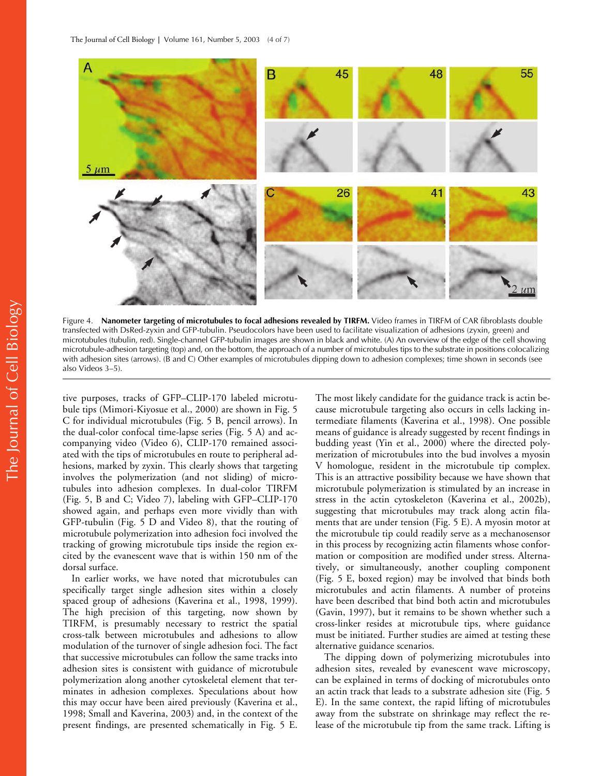

Figure 4. **Nanometer targeting of microtubules to focal adhesions revealed by TIRFM.** Video frames in TIRFM of CAR fibroblasts double transfected with DsRed-zyxin and GFP-tubulin. Pseudocolors have been used to facilitate visualization of adhesions (zyxin, green) and microtubules (tubulin, red). Single-channel GFP-tubulin images are shown in black and white. (A) An overview of the edge of the cell showing microtubule-adhesion targeting (top) and, on the bottom, the approach of a number of microtubules tips to the substrate in positions colocalizing with adhesion sites (arrows). (B and C) Other examples of microtubules dipping down to adhesion complexes; time shown in seconds (see also Videos 3–5).

tive purposes, tracks of GFP–CLIP-170 labeled microtubule tips (Mimori-Kiyosue et al., 2000) are shown in Fig. 5 C for individual microtubules (Fig. 5 B, pencil arrows). In the dual-color confocal time-lapse series (Fig. 5 A) and accompanying video (Video 6), CLIP-170 remained associated with the tips of microtubules en route to peripheral adhesions, marked by zyxin. This clearly shows that targeting involves the polymerization (and not sliding) of microtubules into adhesion complexes. In dual-color TIRFM (Fig. 5, B and C; Video 7), labeling with GFP–CLIP-170 showed again, and perhaps even more vividly than with GFP-tubulin (Fig. 5 D and Video 8), that the routing of microtubule polymerization into adhesion foci involved the tracking of growing microtubule tips inside the region excited by the evanescent wave that is within 150 nm of the dorsal surface.

In earlier works, we have noted that microtubules can specifically target single adhesion sites within a closely spaced group of adhesions (Kaverina et al., 1998, 1999). The high precision of this targeting, now shown by TIRFM, is presumably necessary to restrict the spatial cross-talk between microtubules and adhesions to allow modulation of the turnover of single adhesion foci. The fact that successive microtubules can follow the same tracks into adhesion sites is consistent with guidance of microtubule polymerization along another cytoskeletal element that terminates in adhesion complexes. Speculations about how this may occur have been aired previously (Kaverina et al., 1998; Small and Kaverina, 2003) and, in the context of the present findings, are presented schematically in Fig. 5 E.

The most likely candidate for the guidance track is actin because microtubule targeting also occurs in cells lacking intermediate filaments (Kaverina et al., 1998). One possible means of guidance is already suggested by recent findings in budding yeast (Yin et al., 2000) where the directed polymerization of microtubules into the bud involves a myosin V homologue, resident in the microtubule tip complex. This is an attractive possibility because we have shown that microtubule polymerization is stimulated by an increase in stress in the actin cytoskeleton (Kaverina et al., 2002b), suggesting that microtubules may track along actin filaments that are under tension (Fig. 5 E). A myosin motor at the microtubule tip could readily serve as a mechanosensor in this process by recognizing actin filaments whose conformation or composition are modified under stress. Alternatively, or simultaneously, another coupling component (Fig. 5 E, boxed region) may be involved that binds both microtubules and actin filaments. A number of proteins have been described that bind both actin and microtubules (Gavin, 1997), but it remains to be shown whether such a cross-linker resides at microtubule tips, where guidance must be initiated. Further studies are aimed at testing these alternative guidance scenarios.

The dipping down of polymerizing microtubules into adhesion sites, revealed by evanescent wave microscopy, can be explained in terms of docking of microtubules onto an actin track that leads to a substrate adhesion site (Fig. 5 E). In the same context, the rapid lifting of microtubules away from the substrate on shrinkage may reflect the release of the microtubule tip from the same track. Lifting is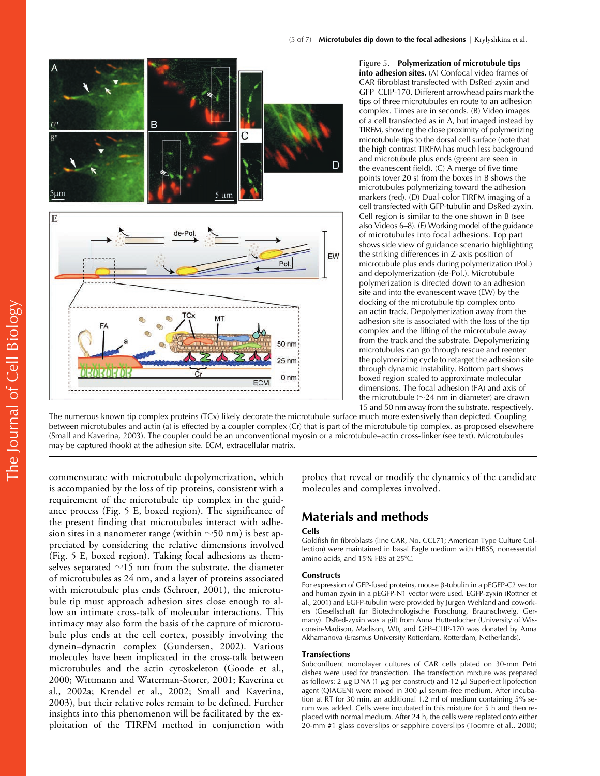

Figure 5. **Polymerization of microtubule tips into adhesion sites.** (A) Confocal video frames of CAR fibroblast transfected with DsRed-zyxin and GFP–CLIP-170. Different arrowhead pairs mark the tips of three microtubules en route to an adhesion complex. Times are in seconds. (B) Video images of a cell transfected as in A, but imaged instead by TIRFM, showing the close proximity of polymerizing microtubule tips to the dorsal cell surface (note that the high contrast TIRFM has much less background and microtubule plus ends (green) are seen in the evanescent field). (C) A merge of five time points (over 20 s) from the boxes in B shows the microtubules polymerizing toward the adhesion markers (red). (D) Dual-color TIRFM imaging of a cell transfected with GFP-tubulin and DsRed-zyxin. Cell region is similar to the one shown in B (see also Videos 6–8). (E) Working model of the guidance of microtubules into focal adhesions. Top part shows side view of guidance scenario highlighting the striking differences in Z-axis position of microtubule plus ends during polymerization (Pol.) and depolymerization (de-Pol.). Microtubule polymerization is directed down to an adhesion site and into the evanescent wave (EW) by the docking of the microtubule tip complex onto an actin track. Depolymerization away from the adhesion site is associated with the loss of the tip complex and the lifting of the microtubule away from the track and the substrate. Depolymerizing microtubules can go through rescue and reenter the polymerizing cycle to retarget the adhesion site through dynamic instability. Bottom part shows boxed region scaled to approximate molecular dimensions. The focal adhesion (FA) and axis of the microtubule ( $\sim$ 24 nm in diameter) are drawn 15 and 50 nm away from the substrate, respectively.

The numerous known tip complex proteins (TCx) likely decorate the microtubule surface much more extensively than depicted. Coupling between microtubules and actin (a) is effected by a coupler complex (Cr) that is part of the microtubule tip complex, as proposed elsewhere (Small and Kaverina, 2003). The coupler could be an unconventional myosin or a microtubule–actin cross-linker (see text). Microtubules may be captured (hook) at the adhesion site. ECM, extracellular matrix.

commensurate with microtubule depolymerization, which is accompanied by the loss of tip proteins, consistent with a requirement of the microtubule tip complex in the guidance process (Fig. 5 E, boxed region). The significance of the present finding that microtubules interact with adhesion sites in a nanometer range (within  $\sim$ 50 nm) is best appreciated by considering the relative dimensions involved (Fig. 5 E, boxed region). Taking focal adhesions as themselves separated  ${\sim}15$  nm from the substrate, the diameter of microtubules as 24 nm, and a layer of proteins associated with microtubule plus ends (Schroer, 2001), the microtubule tip must approach adhesion sites close enough to allow an intimate cross-talk of molecular interactions. This intimacy may also form the basis of the capture of microtubule plus ends at the cell cortex, possibly involving the dynein–dynactin complex (Gundersen, 2002). Various molecules have been implicated in the cross-talk between microtubules and the actin cytoskeleton (Goode et al., 2000; Wittmann and Waterman-Storer, 2001; Kaverina et al., 2002a; Krendel et al., 2002; Small and Kaverina, 2003), but their relative roles remain to be defined. Further insights into this phenomenon will be facilitated by the exploitation of the TIRFM method in conjunction with probes that reveal or modify the dynamics of the candidate molecules and complexes involved.

# **Materials and methods**

#### **Cells**

Goldfish fin fibroblasts (line CAR, No. CCL71; American Type Culture Collection) were maintained in basal Eagle medium with HBSS, nonessential amino acids, and 15% FBS at 25°C.

#### **Constructs**

For expression of GFP-fused proteins, mouse  $\beta$ -tubulin in a pEGFP-C2 vector and human zyxin in a pEGFP-N1 vector were used. EGFP-zyxin (Rottner et al., 2001) and EGFP-tubulin were provided by Jurgen Wehland and coworkers (Gesellschaft fur Biotechnologische Forschung, Braunschweig, Germany). DsRed-zyxin was a gift from Anna Huttenlocher (University of Wisconsin-Madison, Madison, WI), and GFP–CLIP-170 was donated by Anna Akhamanova (Erasmus University Rotterdam, Rotterdam, Netherlands).

#### **Transfections**

Subconfluent monolayer cultures of CAR cells plated on 30-mm Petri dishes were used for transfection. The transfection mixture was prepared as follows: 2  $\mu$ g DNA (1  $\mu$ g per construct) and 12  $\mu$ l SuperFect lipofection agent (QIAGEN) were mixed in 300 µl serum-free medium. After incubation at RT for 30 min, an additional 1.2 ml of medium containing 5% serum was added. Cells were incubated in this mixture for 5 h and then replaced with normal medium. After 24 h, the cells were replated onto either 20-mm #1 glass coverslips or sapphire coverslips (Toomre et al., 2000;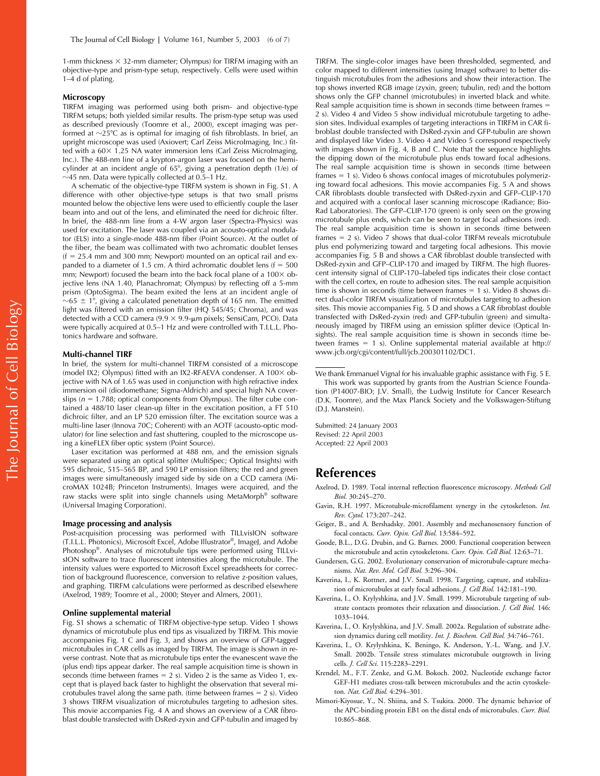1-mm thickness  $\times$  32-mm diameter; Olympus) for TIRFM imaging with an objective-type and prism-type setup, respectively. Cells were used within 1–4 d of plating.

#### **Microscopy**

TIRFM imaging was performed using both prism- and objective-type TIRFM setups; both yielded similar results. The prism-type setup was used as described previously (Toomre et al., 2000), except imaging was performed at  $\sim$ 25°C as is optimal for imaging of fish fibroblasts. In brief, an upright microscope was used (Axiovert; Carl Zeiss MicroImaging, Inc.) fitted with a  $60 \times 1.25$  NA water immersion lens (Carl Zeiss MicroImaging, Inc.). The 488-nm line of a krypton-argon laser was focused on the hemicylinder at an incident angle of 65°, giving a penetration depth (1/e) of  $\sim$ 45 nm. Data were typically collected at 0.5–1 Hz.

A schematic of the objective-type TIRFM system is shown in Fig. S1. A difference with other objective-type setups is that two small prisms mounted below the objective lens were used to efficiently couple the laser beam into and out of the lens, and eliminated the need for dichroic filter. In brief, the 488-nm line from a 4-W argon laser (Spectra-Physics) was used for excitation. The laser was coupled via an acousto-optical modulator (ELS) into a single-mode 488-nm fiber (Point Source). At the outlet of the fiber, the beam was collimated with two achromatic doublet lenses  $(f = 25.4$  mm and 300 mm; Newport) mounted on an optical rail and expanded to a diameter of 1.5 cm. A third achromatic doublet lens ( $f = 500$ mm; Newport) focused the beam into the back focal plane of a  $100 \times$  objective lens (NA 1.40, Planachromat; Olympus) by reflecting off a 5-mm prism (OptoSigma). The beam exited the lens at an incident angle of  $\sim$ 65  $\pm$  1°, giving a calculated penetration depth of 165 nm. The emitted light was filtered with an emission filter (HQ 545/45; Chroma), and was detected with a CCD camera ( $9.9 \times 9.9$ - $\mu$ m pixels; SensiCam, PCO). Data were typically acquired at 0.5–1 Hz and were controlled with T.I.L.L. Photonics hardware and software.

#### **Multi-channel TIRF**

In brief, the system for multi-channel TIRFM consisted of a microscope (model IX2; Olympus) fitted with an IX2-RFAEVA condenser. A  $100 \times$  objective with NA of 1.65 was used in conjunction with high refractive index immersion oil (diodomethane; Sigma-Aldrich) and special high NA coverslips ( $n = 1.788$ ; optical components from Olympus). The filter cube contained a 488/10 laser clean-up filter in the excitation position, a FT 510 dichroic filter, and an LP 520 emission filter. The excitation source was a multi-line laser (Innova 70C; Coherent) with an AOTF (acousto-optic modulator) for line selection and fast shuttering, coupled to the microscope using a kineFLEX fiber optic system (Point Source).

Laser excitation was performed at 488 nm, and the emission signals were separated using an optical splitter (MultiSpec; Optical Insights) with 595 dichroic, 515–565 BP, and 590 LP emission filters; the red and green images were simultaneously imaged side by side on a CCD camera (MicroMAX 1024B; Princeton Instruments). Images were acquired, and the raw stacks were split into single channels using MetaMorph® software (Universal Imaging Corporation).

#### **Image processing and analysis**

Post-acquisition processing was performed with TILLvisION software (T.I.L.L. Photonics), Microsoft Excel, Adobe Illustrator®, ImageJ, and Adobe Photoshop®. Analyses of microtubule tips were performed using TILLvisION software to trace fluorescent intensities along the microtubule. The intensity values were exported to Microsoft Excel spreadsheets for correction of background fluorescence, conversion to relative z-position values, and graphing. TIRFM calculations were performed as described elsewhere (Axelrod, 1989; Toomre et al., 2000; Steyer and Almers, 2001).

#### **Online supplemental material**

Fig. S1 shows a schematic of TIRFM objective-type setup. Video 1 shows dynamics of microtubule plus end tips as visualized by TIRFM. This movie accompanies Fig. 1 C and Fig. 3, and shows an overview of GFP-tagged microtubules in CAR cells as imaged by TIRFM. The image is shown in reverse contrast. Note that as microtubule tips enter the evanescent wave the (plus end) tips appear darker. The real sample acquisition time is shown in seconds (time between frames  $= 2$  s). Video 2 is the same as Video 1, except that is played back faster to highlight the observation that several microtubules travel along the same path. (time between frames  $= 2$  s). Video 3 shows TIRFM visualization of microtubules targeting to adhesion sites. This movie accompanies Fig. 4 A and shows an overview of a CAR fibroblast double transfected with DsRed-zyxin and GFP-tubulin and imaged by

TIRFM. The single-color images have been thresholded, segmented, and color mapped to different intensities (using ImageJ software) to better distinguish microtubules from the adhesions and show their interaction. The top shows inverted RGB image (zyxin, green; tubulin, red) and the bottom shows only the GFP channel (microtubules) in inverted black and white. Real sample acquisition time is shown in seconds (time between frames 2 s). Video 4 and Video 5 show individual microtubule targeting to adhesion sites. Individual examples of targeting interactions in TIRFM in CAR fibroblast double transfected with DsRed-zyxin and GFP-tubulin are shown and displayed like Video 3. Video 4 and Video 5 correspond respectively with images shown in Fig. 4, B and C. Note that the sequence highlights the dipping down of the microtubule plus ends toward focal adhesions. The real sample acquisition time is shown in seconds (time between frames  $= 1$  s). Video 6 shows confocal images of microtubules polymerizing toward focal adhesions. This movie accompanies Fig. 5 A and shows CAR fibroblasts double transfected with DsRed-zyxin and GFP–CLIP-170 and acquired with a confocal laser scanning microscope (Radiance; Bio-Rad Laboratories). The GFP–CLIP-170 (green) is only seen on the growing microtubule plus ends, which can be seen to target focal adhesions (red). The real sample acquisition time is shown in seconds (time between frames  $= 2$  s). Video 7 shows that dual-color TIRFM reveals microtubule plus end polymerizing toward and targeting focal adhesions. This movie accompanies Fig. 5 B and shows a CAR fibroblast double transfected with DsRed-zyxin and GFP–CLIP-170 and imaged by TIRFM. The high fluorescent intensity signal of CLIP-170–labeled tips indicates their close contact with the cell cortex, en route to adhesion sites. The real sample acquisition time is shown in seconds (time between frames  $= 1$  s). Video 8 shows direct dual-color TIRFM visualization of microtubules targeting to adhesion sites. This movie accompanies Fig. 5 D and shows a CAR fibroblast double transfected with DsRed-zyxin (red) and GFP-tubulin (green) and simultaneously imaged by TIRFM using an emission splitter device (Optical Insights). The real sample acquisition time is shown in seconds (time between frames  $= 1$  s). Online supplemental material available at http:// www.jcb.org/cgi/content/full/jcb.200301102/DC1.

Submitted: 24 January 2003 Revised: 22 April 2003 Accepted: 22 April 2003

### **References**

- Axelrod, D. 1989. Total internal reflection fluorescence microscopy. *Methods Cell Biol.* 30:245–270.
- Gavin, R.H. 1997. Microtubule-microfilament synergy in the cytoskeleton. *Int. Rev. Cytol.* 173:207–242.
- Geiger, B., and A. Bershadsky. 2001. Assembly and mechanosensory function of focal contacts. *Curr. Opin. Cell Biol.* 13:584–592.
- Goode, B.L., D.G. Drubin, and G. Barnes. 2000. Functional cooperation between the microtubule and actin cytoskeletons. *Curr. Opin. Cell Biol.* 12:63–71.
- Gundersen, G.G. 2002. Evolutionary conservation of microtubule-capture mechanisms. *Nat. Rev. Mol. Cell Biol.* 3:296–304.
- Kaverina, I., K. Rottner, and J.V. Small. 1998. Targeting, capture, and stabilization of microtubules at early focal adhesions. *J. Cell Biol.* 142:181–190.
- Kaverina, I., O. Krylyshkina, and J.V. Small. 1999. Microtubule targeting of substrate contacts promotes their relaxation and dissociation. *J. Cell Biol.* 146: 1033–1044.
- Kaverina, I., O. Krylyshkina, and J.V. Small. 2002a. Regulation of substrate adhesion dynamics during cell motility. *Int. J. Biochem. Cell Biol.* 34:746–761.
- Kaverina, I., O. Krylyshkina, K. Beningo, K. Anderson, Y.-L. Wang, and J.V. Small. 2002b. Tensile stress stimulates microtubule outgrowth in living cells. *J. Cell Sci.* 115:2283–2291.
- Krendel, M., F.T. Zenke, and G.M. Bokoch. 2002. Nucleotide exchange factor GEF-H1 mediates cross-talk between microtubules and the actin cytoskeleton. *Nat. Cell Biol.* 4:294–301.
- Mimori-Kiyosue, Y., N. Shiina, and S. Tsukita. 2000. The dynamic behavior of the APC-binding protein EB1 on the distal ends of microtubules. *Curr. Biol.* 10:865–868.

We thank Emmanuel Vignal for his invaluable graphic assistance with Fig. 5 E. This work was supported by grants from the Austrian Science Foundation (P14007-BIO; J.V. Small), the Ludwig Institute for Cancer Research (D.K. Toomre), and the Max Planck Society and the Volkswagen-Stiftung (D.J. Manstein).